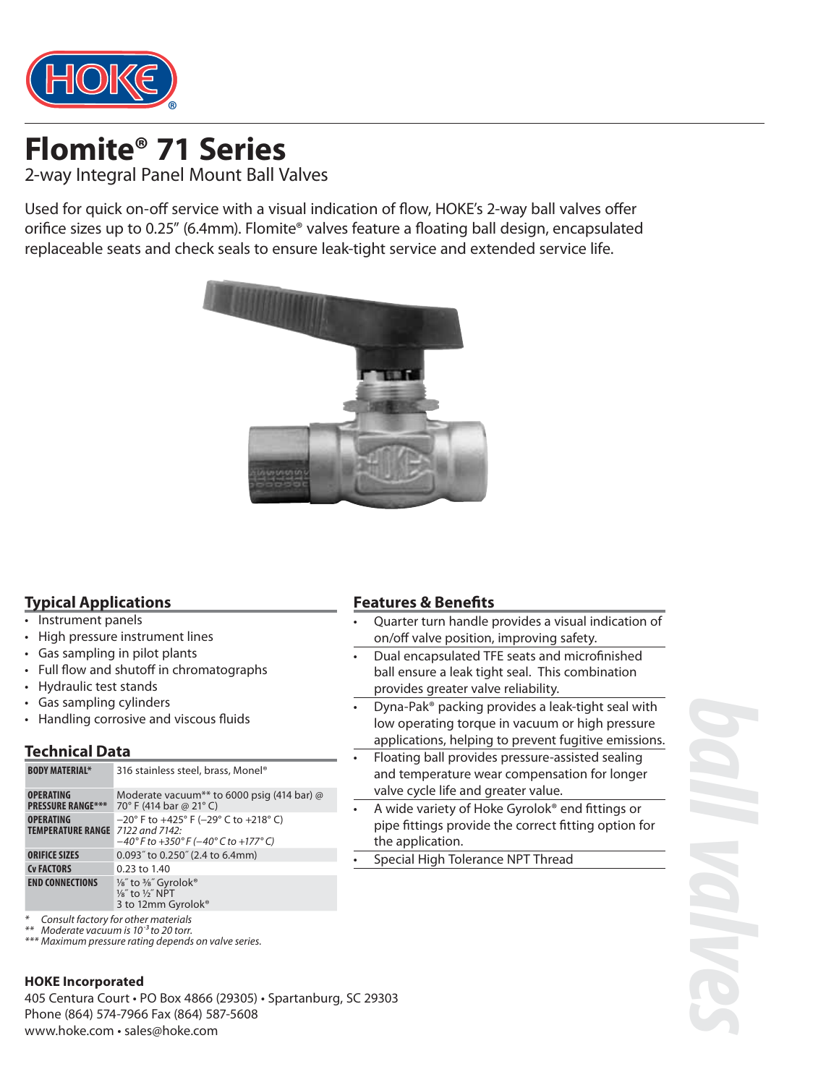

2-way Integral Panel Mount Ball Valves

Used for quick on-off service with a visual indication of flow, HOKE's 2-way ball valves offer orifice sizes up to 0.25" (6.4mm). Flomite<sup>®</sup> valves feature a floating ball design, encapsulated replaceable seats and check seals to ensure leak-tight service and extended service life.



#### **Typical Applications**

- Instrument panels
- High pressure instrument lines
- Gas sampling in pilot plants
- Full flow and shutoff in chromatographs
- Hydraulic test stands
- Gas sampling cylinders
- Handling corrosive and viscous fluids

#### **Technical Data**

| <b>BODY MATERIAL*</b>                        | 316 stainless steel, brass, Monel®                                                                                                                                           |
|----------------------------------------------|------------------------------------------------------------------------------------------------------------------------------------------------------------------------------|
| <b>OPERATING</b><br><b>PRESSURE RANGE***</b> | Moderate vacuum <sup>**</sup> to 6000 psig (414 bar) @<br>70° F (414 bar @ 21° C)                                                                                            |
| <b>OPERATING</b><br><b>TEMPERATURE RANGE</b> | $-20^{\circ}$ F to $+425^{\circ}$ F ( $-29^{\circ}$ C to $+218^{\circ}$ C)<br>7122 and 7142:<br>$-40^{\circ}$ F to +350 $^{\circ}$ F (-40 $^{\circ}$ C to +177 $^{\circ}$ C) |
| <b>ORIFICE SIZES</b>                         | 0.093" to 0.250" (2.4 to 6.4mm)                                                                                                                                              |
| <b>Cv FACTORS</b>                            | $0.23$ to $1.40$                                                                                                                                                             |
| <b>END CONNECTIONS</b>                       | 1/8" to 3/8" Gyrolok®<br>1/8" to 1/2" NPT<br>3 to 12mm Gyrolok <sup>®</sup>                                                                                                  |
|                                              | - - - -                                                                                                                                                                      |

\* Consult factory for other materials

\*\* Moderate vacuum is 10-3 to 20 torr. \*\*\* Maximum pressure rating depends on valve series.

#### **HOKE Incorporated**

405 Centura Court • PO Box 4866 (29305) • Spartanburg, SC 29303 Phone (864) 574-7966 Fax (864) 587-5608 www.hoke.com • sales@hoke.com

#### **Features & Benefits**

- Quarter turn handle provides a visual indication of on/off valve position, improving safety.
- Dual encapsulated TFE seats and microfinished ball ensure a leak tight seal. This combination provides greater valve reliability.
- Dyna-Pak® packing provides a leak-tight seal with low operating torque in vacuum or high pressure applications, helping to prevent fugitive emissions.
- Floating ball provides pressure-assisted sealing and temperature wear compensation for longer valve cycle life and greater value.
- A wide variety of Hoke Gyrolok® end fittings or pipe fittings provide the correct fitting option for the application.
- Special High Tolerance NPT Thread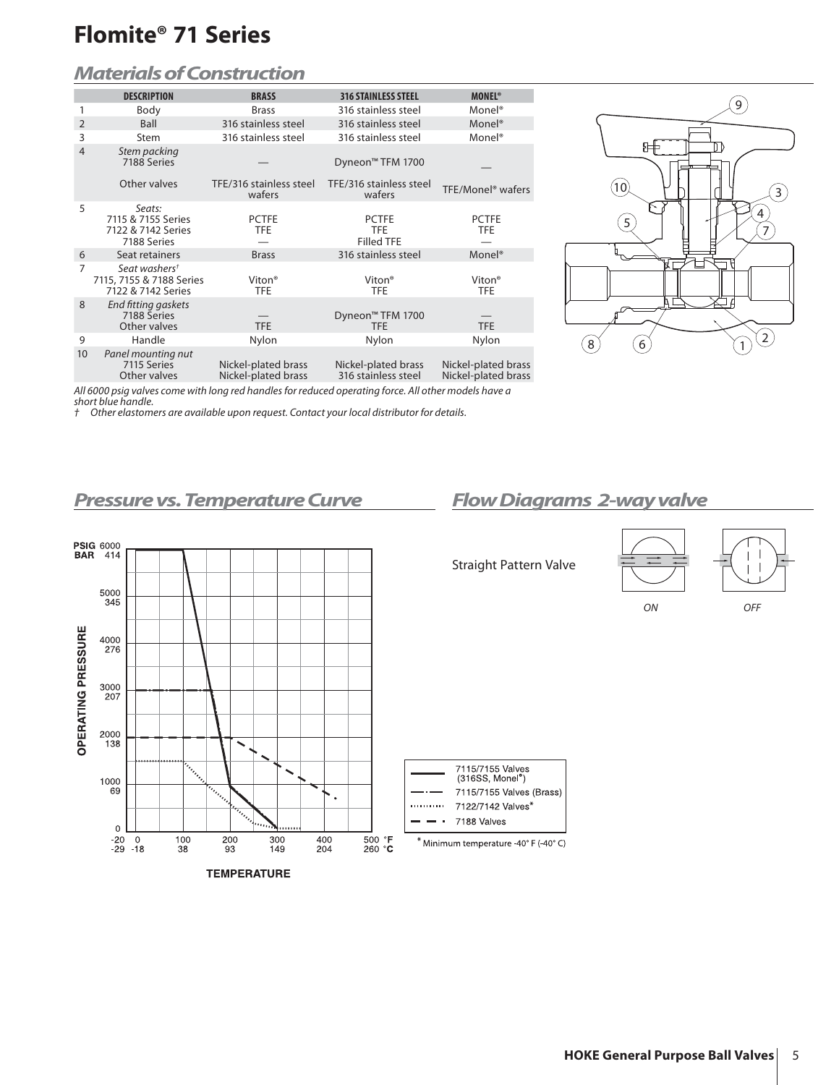### *Materials of Construction*

|                | <b>DESCRIPTION</b>                                                          | <b>BRASS</b>                               | <b>316 STAINLESS STEEL</b>                      | <b>MONEL<sup>®</sup></b>                   |
|----------------|-----------------------------------------------------------------------------|--------------------------------------------|-------------------------------------------------|--------------------------------------------|
|                | Body                                                                        | <b>Brass</b>                               | 316 stainless steel                             | Monel <sup>®</sup>                         |
| $\overline{2}$ | Ball                                                                        | 316 stainless steel                        | 316 stainless steel                             | Monel <sup>®</sup>                         |
| 3              | Stem                                                                        | 316 stainless steel                        | 316 stainless steel                             | Monel <sup>®</sup>                         |
| $\overline{4}$ | Stem packing<br>7188 Series                                                 |                                            | Dyneon <sup>™</sup> TFM 1700                    |                                            |
|                | Other valves                                                                | TFE/316 stainless steel<br>wafers          | TFE/316 stainless steel<br>wafers               | TFE/Monel <sup>®</sup> wafers              |
| 5              | Seats:<br>7115 & 7155 Series<br>7122 & 7142 Series<br>7188 Series           | <b>PCTFE</b><br><b>TFE</b>                 | <b>PCTFE</b><br><b>TFE</b><br><b>Filled TFE</b> | <b>PCTFE</b><br><b>TFE</b>                 |
| 6              | Seat retainers                                                              | <b>Brass</b>                               | 316 stainless steel                             | Monel <sup>®</sup>                         |
| 7              | Seat washers <sup>t</sup><br>7115, 7155 & 7188 Series<br>7122 & 7142 Series | Viton <sup>®</sup><br><b>TFE</b>           | Viton <sup>®</sup><br><b>TFE</b>                | Viton <sup>®</sup><br><b>TFE</b>           |
| 8              | End fitting gaskets<br>7188 Series<br>Other valves                          | <b>TFE</b>                                 | Dyneon <sup>™</sup> TFM 1700<br>TFE.            | <b>TFE</b>                                 |
| 9              | Handle                                                                      | Nylon                                      | Nylon                                           | Nylon                                      |
| 10             | Panel mounting nut<br>7115 Series<br>Other valves                           | Nickel-plated brass<br>Nickel-plated brass | Nickel-plated brass<br>316 stainless steel      | Nickel-plated brass<br>Nickel-plated brass |
|                |                                                                             |                                            |                                                 |                                            |



ON OFF

All 6000 psig valves come with long red handles for reduced operating force. All other models have a short blue handle.<br>† Other elastome

Other elastomers are available upon request. Contact your local distributor for details.

### *Pressure vs. Temperature Curve Flow Diagrams 2-way valve*



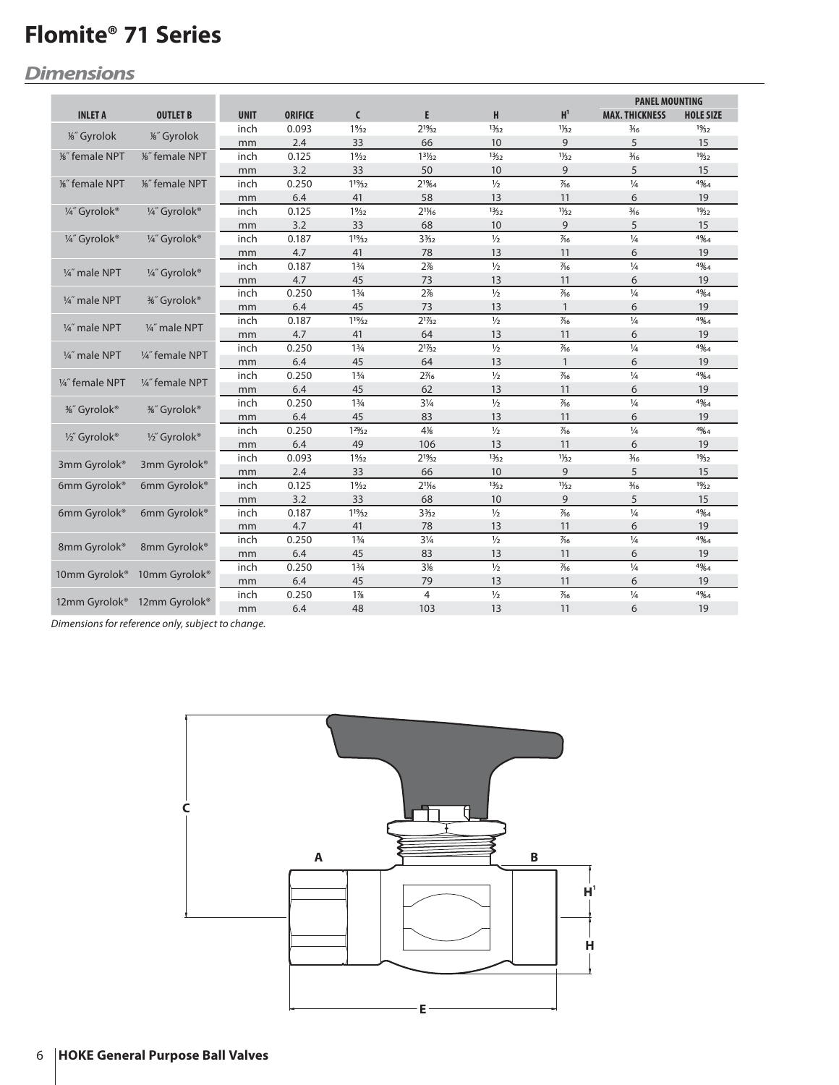## *Dimensions*

|                          |                          |             |                |                 | <b>PANEL MOUNTING</b>           |               |                          |                       |                  |
|--------------------------|--------------------------|-------------|----------------|-----------------|---------------------------------|---------------|--------------------------|-----------------------|------------------|
| <b>INLET A</b>           | <b>OUTLET B</b>          | <b>UNIT</b> | <b>ORIFICE</b> | $\mathsf{C}$    | E.                              | H             | H <sup>1</sup>           | <b>MAX. THICKNESS</b> | <b>HOLE SIZE</b> |
|                          |                          | inch        | 0.093          | $1\frac{9}{32}$ | 2 <sup>19</sup> / <sub>32</sub> | 13/32         | $1\frac{1}{32}$          | $\frac{3}{16}$        | 19/32            |
| 1%" Gyrolok              | 1%" Gyrolok              | mm          | 2.4            | 33              | 66                              | 10            | 9                        | 5                     | 15               |
| %" female NPT            | 1%" female NPT           | inch        | 0.125          | $1\frac{9}{32}$ | $13\frac{1}{3}2$                | 13/32         | $1\frac{1}{32}$          | $\frac{3}{16}$        | 19/32            |
|                          |                          | mm          | 3.2            | 33              | 50                              | 10            | 9                        | 5                     | 15               |
| %" female NPT            | 1%" female NPT           | inch        | 0.250          | 119/32          | $2^{1\frac{2}{64}}$             | $\frac{1}{2}$ | $\frac{7}{6}$            | $\frac{1}{4}$         | 4%4              |
|                          |                          | mm          | 6.4            | 41              | 58                              | 13            | 11                       | 6                     | 19               |
| 1/4" Gyrolok®            | 1/4" Gyrolok®            | inch        | 0.125          | $1\frac{9}{32}$ | $2^{11}/16$                     | 13/32         | $1\frac{1}{32}$          | $\frac{3}{16}$        | 19/32            |
|                          |                          | mm          | 3.2            | 33              | 68                              | 10            | 9                        | 5                     | 15               |
| 1/4" Gyrolok®            | 1/4" Gyrolok®            | inch        | 0.187          | $1^{19}/32$     | $3\frac{3}{2}$                  | $1/2$         | $\frac{7}{6}$            | $\frac{1}{4}$         | 4%4              |
|                          |                          | mm          | 4.7            | 41              | 78                              | 13            | 11                       | 6                     | 19               |
| 1/4" male NPT            |                          | inch        | 0.187          | $1\frac{3}{4}$  | 2%                              | $\frac{1}{2}$ | $\overline{\frac{7}{6}}$ | $\frac{1}{4}$         | 4%4              |
|                          | 1/4" Gyrolok®            | mm          | 4.7            | 45              | 73                              | 13            | 11                       | 6                     | 19               |
| 1/4" male NPT            | <sup>3</sup> %″ Gyrolok® | inch        | 0.250          | $1\frac{3}{4}$  | 2%                              | $\frac{1}{2}$ | $\frac{7}{6}$            | $\frac{1}{4}$         | 4%4              |
|                          |                          | mm          | 6.4            | 45              | 73                              | 13            | $\mathbf{1}$             | 6                     | 19               |
| 1/4" male NPT            | 1/4" male NPT            | inch        | 0.187          | 119/32          | $2^{17/32}$                     | $\frac{1}{2}$ | $\frac{7}{6}$            | $\frac{1}{4}$         | 4%4              |
|                          |                          | mm          | 4.7            | 41              | 64                              | 13            | 11                       | 6                     | 19               |
| 1/4" male NPT            | 1/4" female NPT          | inch        | 0.250          | $1\frac{3}{4}$  | $2^{17/32}$                     | $\frac{1}{2}$ | $\frac{7}{6}$            | $\frac{1}{4}$         | 4%4              |
|                          |                          | mm          | 6.4            | 45              | 64                              | 13            | $\mathbf{1}$             | 6                     | 19               |
| 1/4" female NPT          | 1/4" female NPT          | inch        | 0.250          | $1\frac{3}{4}$  | 2%6                             | $\frac{1}{2}$ | $\frac{7}{6}$            | $\frac{1}{4}$         | 4%4              |
|                          |                          | mm          | 6.4            | 45              | 62                              | 13            | 11                       | 6                     | 19               |
| <sup>3</sup> %″ Gyrolok® | <sup>3</sup> %″ Gyrolok® | inch        | 0.250          | $1\frac{3}{4}$  | $3\frac{1}{4}$                  | $\frac{1}{2}$ | $\frac{7}{6}$            | $\frac{1}{4}$         | 4%4              |
|                          |                          | mm          | 6.4            | 45              | 83                              | 13            | 11                       | 6                     | 19               |
| 1/2" Gyrolok®            | 1/2" Gyrolok®            | inch        | 0.250          | 129/32          | 4%                              | $\frac{1}{2}$ | $\frac{7}{6}$            | $\frac{1}{4}$         | 49/64            |
|                          |                          | mm          | 6.4            | 49              | 106                             | 13            | 11                       | 6                     | 19               |
|                          | 3mm Gyrolok®             | inch        | 0.093          | $1\frac{9}{32}$ | $2^{19/32}$                     | 13/32         | $1\frac{1}{32}$          | $\frac{3}{16}$        | 19/32            |
| 3mm Gyrolok®             |                          | mm          | 2.4            | 33              | 66                              | 10            | 9                        | 5                     | 15               |
| 6mm Gyrolok®             | 6mm Gyrolok®             | inch        | 0.125          | $1\frac{9}{32}$ | $2^{11}/6$                      | 13/32         | $1\frac{1}{32}$          | $\frac{3}{16}$        | 19/32            |
|                          |                          | mm          | 3.2            | 33              | 68                              | 10            | 9                        | 5                     | 15               |
| 6mm Gyrolok®             | 6mm Gyrolok®             | inch        | 0.187          | 119/32          | $3\frac{3}{2}$                  | $\frac{1}{2}$ | $\frac{7}{6}$            | $\frac{1}{4}$         | 4%4              |
|                          |                          | mm          | 4.7            | 41              | 78                              | 13            | 11                       | 6                     | 19               |
|                          |                          | inch        | 0.250          | $1\frac{3}{4}$  | $3\frac{1}{4}$                  | $\frac{1}{2}$ | $\frac{7}{6}$            | $\frac{1}{4}$         | 4%4              |
| 8mm Gyrolok®             | 8mm Gyrolok®             | mm          | 6.4            | 45              | 83                              | 13            | 11                       | 6                     | 19               |
| 10mm Gyrolok®            | 10mm Gyrolok®            | inch        | 0.250          | $1\frac{3}{4}$  | 3%                              | $1/2$         | $\frac{7}{6}$            | $\frac{1}{4}$         | 4%4              |
|                          |                          | mm          | 6.4            | 45              | 79                              | 13            | 11                       | 6                     | 19               |
|                          |                          | inch        | 0.250          | 1%              | $\overline{4}$                  | $\frac{1}{2}$ | $\frac{7}{6}$            | $\frac{1}{4}$         | 4%4              |
| 12mm Gyrolok®            | 12mm Gyrolok®            | mm          | 6.4            | 48              | 103                             | 13            | 11                       | 6                     | 19               |

Dimensions for reference only, subject to change.

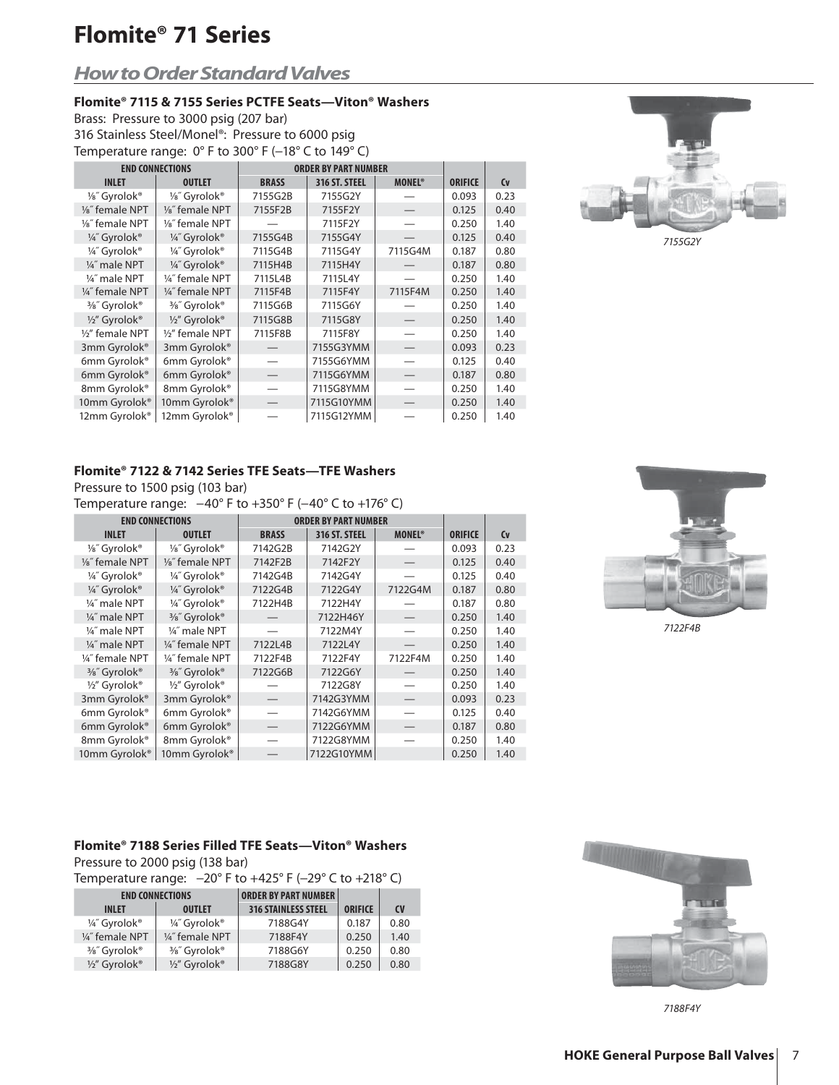### *How to Order Standard Valves*

#### **Flomite® 7115 & 7155 Series PCTFE Seats—Viton® Washers**

Brass: Pressure to 3000 psig (207 bar) 316 Stainless Steel/Monel®: Pressure to 6000 psig Temperature range: 0° F to 300° F (-18° C to 149° C)

| <b>END CONNECTIONS</b>       |                              | <b>ORDER BY PART NUMBER</b> |               |                          |                |           |
|------------------------------|------------------------------|-----------------------------|---------------|--------------------------|----------------|-----------|
| <b>INLET</b>                 | <b>OUTLET</b>                | <b>BRASS</b>                | 316 ST. STEEL | <b>MONEL<sup>®</sup></b> | <b>ORIFICE</b> | <b>Cv</b> |
| 1/8" Gyrolok®                | 1/8" Gyrolok®                | 7155G2B                     | 7155G2Y       |                          | 0.093          | 0.23      |
| 1/ <sub>8</sub> " female NPT | 1/ <sub>8</sub> " female NPT | 7155F2B                     | 7155F2Y       |                          | 0.125          | 0.40      |
| 1/ <sub>8</sub> " female NPT | 1/ <sub>8</sub> " female NPT |                             | 7115F2Y       |                          | 0.250          | 1.40      |
| 1/4" Gyrolok®                | 1/4" Gyrolok®                | 7155G4B                     | 7155G4Y       |                          | 0.125          | 0.40      |
| 1/4" Gyrolok®                | 1/4" Gyrolok®                | 7115G4B                     | 7115G4Y       | 7115G4M                  | 0.187          | 0.80      |
| 1/4" male NPT                | 1/4" Gyrolok®                | 7115H4B                     | 7115H4Y       |                          | 0.187          | 0.80      |
| 1/4" male NPT                | 1/4" female NPT              | 7115L4B                     | 7115L4Y       |                          | 0.250          | 1.40      |
| 1/4" female NPT              | 1/4" female NPT              | 7115F4B                     | 7115F4Y       | 7115F4M                  | 0.250          | 1.40      |
| 3/8" Gyrolok®                | 3/8" Gyrolok®                | 7115G6B                     | 7115G6Y       |                          | 0.250          | 1.40      |
| 1/2" Gyrolok®                | 1/2" Gyrolok®                | 7115G8B                     | 7115G8Y       |                          | 0.250          | 1.40      |
| 1/2" female NPT              | 1/2" female NPT              | 7115F8B                     | 7115F8Y       |                          | 0.250          | 1.40      |
| 3mm Gyrolok®                 | 3mm Gyrolok®                 |                             | 7155G3YMM     |                          | 0.093          | 0.23      |
| 6mm Gyrolok®                 | 6mm Gyrolok®                 |                             | 7155G6YMM     |                          | 0.125          | 0.40      |
| 6mm Gyrolok®                 | 6mm Gyrolok®                 |                             | 7115G6YMM     |                          | 0.187          | 0.80      |
| 8mm Gyrolok®                 | 8mm Gyrolok®                 |                             | 7115G8YMM     |                          | 0.250          | 1.40      |
| 10mm Gyrolok®                | 10mm Gyrolok®                |                             | 7115G10YMM    |                          | 0.250          | 1.40      |
| 12mm Gyrolok <sup>®</sup>    | 12mm Gyrolok®                |                             | 7115G12YMM    |                          | 0.250          | 1.40      |



#### **Flomite® 7122 & 7142 Series TFE Seats—TFE Washers**

Pressure to 1500 psig (103 bar)

Temperature range: -40° F to +350° F (-40° C to +176° C)

| <b>END CONNECTIONS</b>       |                              | <b>ORDER BY PART NUMBER</b> |               |                          |                |           |
|------------------------------|------------------------------|-----------------------------|---------------|--------------------------|----------------|-----------|
| <b>INLET</b>                 | <b>OUTLET</b>                | <b>BRASS</b>                | 316 ST. STEEL | <b>MONEL<sup>®</sup></b> | <b>ORIFICE</b> | <b>Cv</b> |
| 1/8" Gyrolok®                | 1/ <sub>8</sub> " Gyrolok®   | 7142G2B                     | 7142G2Y       |                          | 0.093          | 0.23      |
| 1/ <sub>8</sub> " female NPT | 1/ <sub>8</sub> " female NPT | 7142F2B                     | 7142F2Y       |                          | 0.125          | 0.40      |
| 1/4" Gyrolok®                | 1/4" Gyrolok®                | 7142G4B                     | 7142G4Y       |                          | 0.125          | 0.40      |
| 1/4" Gyrolok®                | 1/4" Gyrolok®                | 7122G4B                     | 7122G4Y       | 7122G4M                  | 0.187          | 0.80      |
| 1/4" male NPT                | 1/4" Gyrolok®                | 7122H4B                     | 7122H4Y       |                          | 0.187          | 0.80      |
| 1/4" male NPT                | 3/8" Gyrolok®                |                             | 7122H46Y      |                          | 0.250          | 1.40      |
| 1/4" male NPT                | 1/4" male NPT                |                             | 7122M4Y       |                          | 0.250          | 1.40      |
| 1/4" male NPT                | 1/4" female NPT              | 7122L4B                     | 7122L4Y       |                          | 0.250          | 1.40      |
| 1/4" female NPT              | 1/4" female NPT              | 7122F4B                     | 7122F4Y       | 7122F4M                  | 0.250          | 1.40      |
| 3/8" Gyrolok®                | 3/8" Gyrolok®                | 7122G6B                     | 7122G6Y       |                          | 0.250          | 1.40      |
| 1/2" Gyrolok®                | 1/2" Gyrolok®                |                             | 7122G8Y       |                          | 0.250          | 1.40      |
| 3mm Gyrolok®                 | 3mm Gyrolok®                 |                             | 7142G3YMM     |                          | 0.093          | 0.23      |
| 6mm Gyrolok®                 | 6mm Gyrolok®                 |                             | 7142G6YMM     |                          | 0.125          | 0.40      |
| 6mm Gyrolok®                 | 6mm Gyrolok®                 |                             | 7122G6YMM     |                          | 0.187          | 0.80      |
| 8mm Gyrolok®                 | 8mm Gyrolok®                 |                             | 7122G8YMM     |                          | 0.250          | 1.40      |
| 10mm Gyrolok <sup>®</sup>    | 10mm Gyrolok®                |                             | 7122G10YMM    |                          | 0.250          | 1.40      |



7122F4B

#### **Flomite® 7188 Series Filled TFE Seats—Viton® Washers**

Pressure to 2000 psig (138 bar)

Temperature range: −20° F to +425° F (−29° C to +218° C)

| <b>END CONNECTIONS</b> |                 | <b>ORDER BY PART NUMBER</b> |                |           |
|------------------------|-----------------|-----------------------------|----------------|-----------|
| <b>INLET</b>           | <b>OUTLET</b>   | <b>316 STAINLESS STEEL</b>  | <b>ORIFICE</b> | <b>CV</b> |
| 1/4" Gyrolok®          | 1/4" Gyrolok®   | 7188G4Y                     | 0.187          | 0.80      |
| 1/4" female NPT        | 1/4" female NPT | 7188F4Y                     | 0.250          | 1.40      |
| 3/8" Gyrolok®          | 3/8" Gyrolok®   | 7188G6Y                     | 0.250          | 0.80      |
| $\frac{1}{2}$ Gyrolok® | 1/2" Gyrolok®   | 7188G8Y                     | 0.250          | 0.80      |



7188F4Y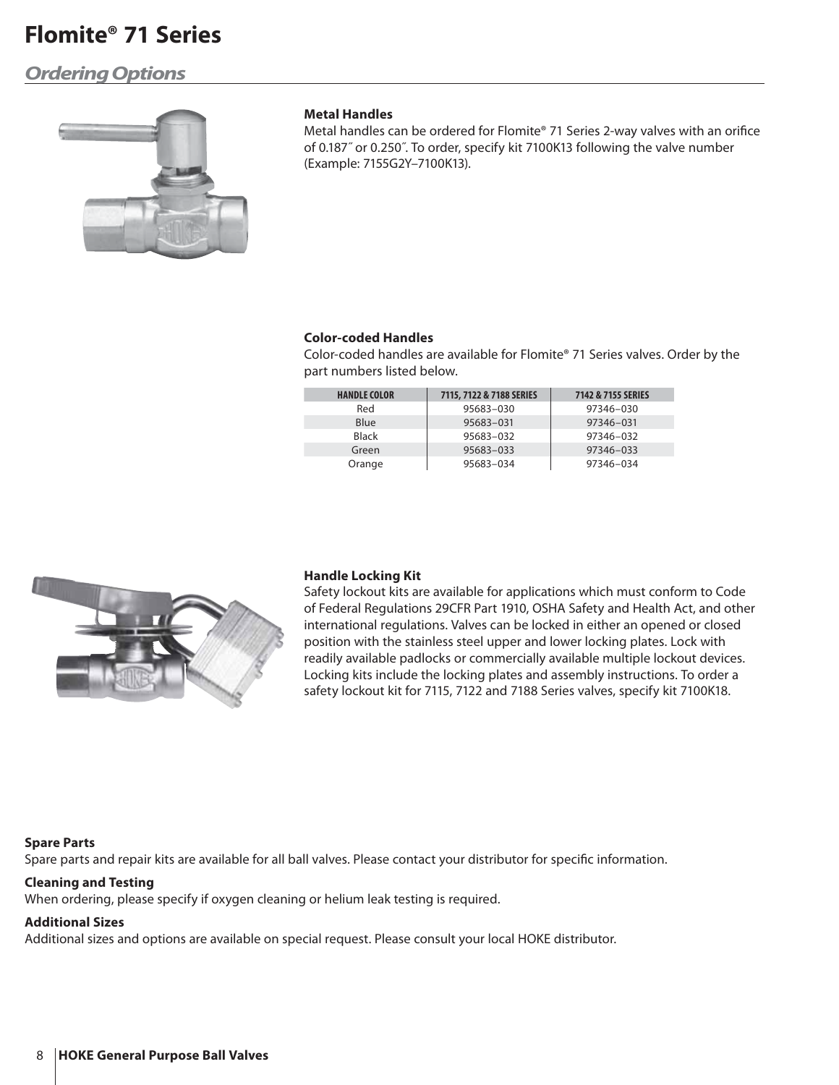### *Ordering Options*



#### **Metal Handles**

Metal handles can be ordered for Flomite® 71 Series 2-way valves with an orifice of 0.187˝ or 0.250˝. To order, specify kit 7100K13 following the valve number (Example: 7155G2Y–7100K13).

#### **Color-coded Handles**

Color-coded handles are available for Flomite® 71 Series valves. Order by the part numbers listed below.

| <b>HANDLE COLOR</b> | 7115, 7122 & 7188 SERIES | 7142 & 7155 SERIES |
|---------------------|--------------------------|--------------------|
| Red                 | 95683-030                | 97346-030          |
| Blue                | 95683-031                | 97346-031          |
| <b>Black</b>        | 95683-032                | 97346-032          |
| Green               | 95683-033                | 97346-033          |
| Orange              | 95683-034                | 97346-034          |



#### **Handle Locking Kit**

Safety lockout kits are available for applications which must conform to Code of Federal Regulations 29CFR Part 1910, OSHA Safety and Health Act, and other international regulations. Valves can be locked in either an opened or closed position with the stainless steel upper and lower locking plates. Lock with readily available padlocks or commercially available multiple lockout devices. Locking kits include the locking plates and assembly instructions. To order a safety lockout kit for 7115, 7122 and 7188 Series valves, specify kit 7100K18.

#### **Spare Parts**

Spare parts and repair kits are available for all ball valves. Please contact your distributor for specific information.

#### **Cleaning and Testing**

When ordering, please specify if oxygen cleaning or helium leak testing is required.

#### **Additional Sizes**

Additional sizes and options are available on special request. Please consult your local HOKE distributor.